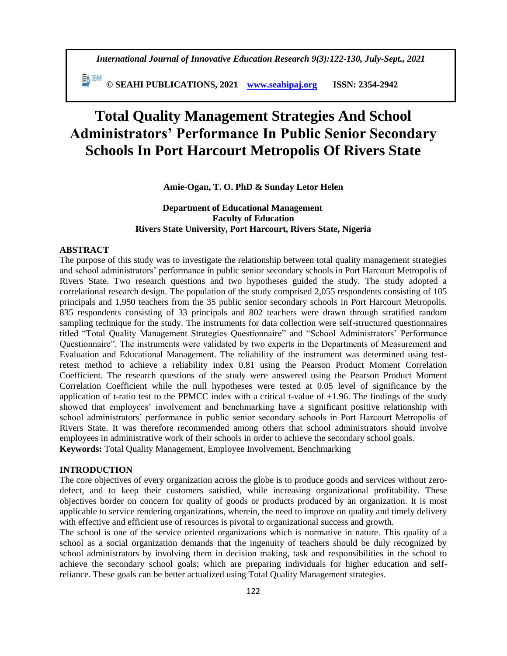*International Journal of Innovative Education Research 9(3):122-130, July-Sept., 2021*

 **© SEAHI PUBLICATIONS, 2021 [www.seahipaj.org](http://www.seahipaj.org/) ISSN: 2354-2942**

# **Total Quality Management Strategies And School Administrators' Performance In Public Senior Secondary Schools In Port Harcourt Metropolis Of Rivers State**

# **Amie-Ogan, T. O. PhD & Sunday Letor Helen**

# **Department of Educational Management Faculty of Education Rivers State University, Port Harcourt, Rivers State, Nigeria**

## **ABSTRACT**

The purpose of this study was to investigate the relationship between total quality management strategies and school administrators' performance in public senior secondary schools in Port Harcourt Metropolis of Rivers State. Two research questions and two hypotheses guided the study. The study adopted a correlational research design. The population of the study comprised 2,055 respondents consisting of 105 principals and 1,950 teachers from the 35 public senior secondary schools in Port Harcourt Metropolis. 835 respondents consisting of 33 principals and 802 teachers were drawn through stratified random sampling technique for the study. The instruments for data collection were self-structured questionnaires titled "Total Quality Management Strategies Questionnaire" and "School Administrators' Performance Questionnaire". The instruments were validated by two experts in the Departments of Measurement and Evaluation and Educational Management. The reliability of the instrument was determined using testretest method to achieve a reliability index 0.81 using the Pearson Product Moment Correlation Coefficient. The research questions of the study were answered using the Pearson Product Moment Correlation Coefficient while the null hypotheses were tested at 0.05 level of significance by the application of t-ratio test to the PPMCC index with a critical t-value of  $\pm 1.96$ . The findings of the study showed that employees' involvement and benchmarking have a significant positive relationship with school administrators' performance in public senior secondary schools in Port Harcourt Metropolis of Rivers State. It was therefore recommended among others that school administrators should involve employees in administrative work of their schools in order to achieve the secondary school goals. **Keywords:** Total Quality Management, Employee Involvement, Benchmarking

# **INTRODUCTION**

The core objectives of every organization across the globe is to produce goods and services without zerodefect, and to keep their customers satisfied, while increasing organizational profitability. These objectives border on concern for quality of goods or products produced by an organization. It is most applicable to service rendering organizations, wherein, the need to improve on quality and timely delivery with effective and efficient use of resources is pivotal to organizational success and growth.

The school is one of the service oriented organizations which is normative in nature. This quality of a school as a social organization demands that the ingenuity of teachers should be duly recognized by school administrators by involving them in decision making, task and responsibilities in the school to achieve the secondary school goals; which are preparing individuals for higher education and selfreliance. These goals can be better actualized using Total Quality Management strategies.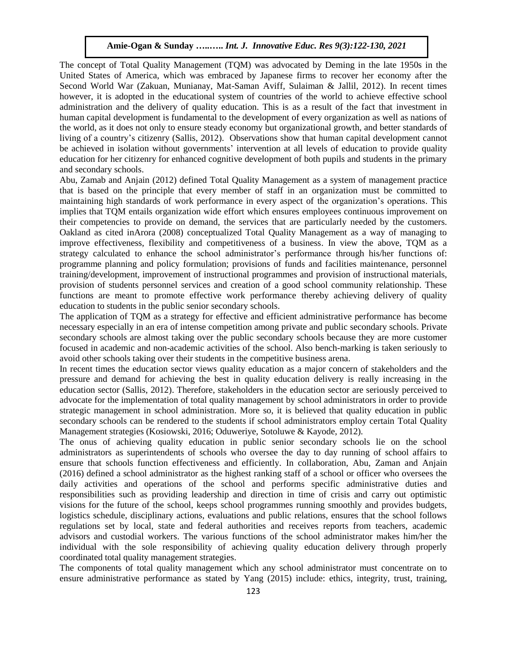The concept of Total Quality Management (TQM) was advocated by Deming in the late 1950s in the United States of America, which was embraced by Japanese firms to recover her economy after the Second World War (Zakuan, Munianay, Mat-Saman Aviff, Sulaiman & Jallil, 2012). In recent times however, it is adopted in the educational system of countries of the world to achieve effective school administration and the delivery of quality education. This is as a result of the fact that investment in human capital development is fundamental to the development of every organization as well as nations of the world, as it does not only to ensure steady economy but organizational growth, and better standards of living of a country's citizenry (Sallis, 2012). Observations show that human capital development cannot be achieved in isolation without governments' intervention at all levels of education to provide quality education for her citizenry for enhanced cognitive development of both pupils and students in the primary and secondary schools.

Abu, Zamab and Anjain (2012) defined Total Quality Management as a system of management practice that is based on the principle that every member of staff in an organization must be committed to maintaining high standards of work performance in every aspect of the organization's operations. This implies that TQM entails organization wide effort which ensures employees continuous improvement on their competencies to provide on demand, the services that are particularly needed by the customers. Oakland as cited inArora (2008) conceptualized Total Quality Management as a way of managing to improve effectiveness, flexibility and competitiveness of a business. In view the above, TQM as a strategy calculated to enhance the school administrator's performance through his/her functions of: programme planning and policy formulation; provisions of funds and facilities maintenance, personnel training/development, improvement of instructional programmes and provision of instructional materials, provision of students personnel services and creation of a good school community relationship. These functions are meant to promote effective work performance thereby achieving delivery of quality education to students in the public senior secondary schools.

The application of TQM as a strategy for effective and efficient administrative performance has become necessary especially in an era of intense competition among private and public secondary schools. Private secondary schools are almost taking over the public secondary schools because they are more customer focused in academic and non-academic activities of the school. Also bench-marking is taken seriously to avoid other schools taking over their students in the competitive business arena.

In recent times the education sector views quality education as a major concern of stakeholders and the pressure and demand for achieving the best in quality education delivery is really increasing in the education sector (Sallis, 2012). Therefore, stakeholders in the education sector are seriously perceived to advocate for the implementation of total quality management by school administrators in order to provide strategic management in school administration. More so, it is believed that quality education in public secondary schools can be rendered to the students if school administrators employ certain Total Quality Management strategies (Kosiowski, 2016; Oduweriye, Sotoluwe & Kayode, 2012).

The onus of achieving quality education in public senior secondary schools lie on the school administrators as superintendents of schools who oversee the day to day running of school affairs to ensure that schools function effectiveness and efficiently. In collaboration, Abu, Zaman and Anjain (2016) defined a school administrator as the highest ranking staff of a school or officer who oversees the daily activities and operations of the school and performs specific administrative duties and responsibilities such as providing leadership and direction in time of crisis and carry out optimistic visions for the future of the school, keeps school programmes running smoothly and provides budgets, logistics schedule, disciplinary actions, evaluations and public relations, ensures that the school follows regulations set by local, state and federal authorities and receives reports from teachers, academic advisors and custodial workers. The various functions of the school administrator makes him/her the individual with the sole responsibility of achieving quality education delivery through properly coordinated total quality management strategies.

The components of total quality management which any school administrator must concentrate on to ensure administrative performance as stated by Yang (2015) include: ethics, integrity, trust, training,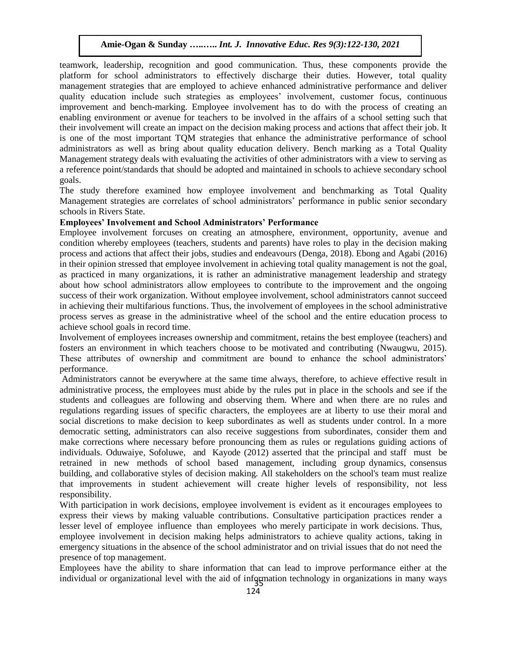teamwork, leadership, recognition and good communication. Thus, these components provide the platform for school administrators to effectively discharge their duties. However, total quality management strategies that are employed to achieve enhanced administrative performance and deliver quality education include such strategies as employees' involvement, customer focus, continuous improvement and bench-marking. Employee involvement has to do with the process of creating an enabling environment or avenue for teachers to be involved in the affairs of a school setting such that their involvement will create an impact on the decision making process and actions that affect their job. It is one of the most important TQM strategies that enhance the administrative performance of school administrators as well as bring about quality education delivery. Bench marking as a Total Quality Management strategy deals with evaluating the activities of other administrators with a view to serving as a reference point/standards that should be adopted and maintained in schools to achieve secondary school goals.

The study therefore examined how employee involvement and benchmarking as Total Quality Management strategies are correlates of school administrators' performance in public senior secondary schools in Rivers State.

## **Employees' Involvement and School Administrators' Performance**

Employee involvement forcuses on creating an atmosphere, environment, opportunity, avenue and condition whereby employees (teachers, students and parents) have roles to play in the decision making process and actions that affect their jobs, studies and endeavours (Denga, 2018). Ebong and Agabi (2016) in their opinion stressed that employee involvement in achieving total quality management is not the goal, as practiced in many organizations, it is rather an administrative management leadership and strategy about how school administrators allow employees to contribute to the improvement and the ongoing success of their work organization. Without employee involvement, school administrators cannot succeed in achieving their multifarious functions. Thus, the involvement of employees in the school administrative process serves as grease in the administrative wheel of the school and the entire education process to achieve school goals in record time.

Involvement of employees increases ownership and commitment, retains the best employee (teachers) and fosters an environment in which teachers choose to be motivated and contributing (Nwaugwu, 2015). These attributes of ownership and commitment are bound to enhance the school administrators' performance.

Administrators cannot be everywhere at the same time always, therefore, to achieve effective result in administrative process, the employees must abide by the rules put in place in the schools and see if the students and colleagues are following and observing them. Where and when there are no rules and regulations regarding issues of specific characters, the employees are at liberty to use their moral and social discretions to make decision to keep subordinates as well as students under control. In a more democratic setting, administrators can also receive suggestions from subordinates, consider them and make corrections where necessary before pronouncing them as rules or regulations guiding actions of individuals. Oduwaiye, Sofoluwe, and Kayode (2012) asserted that the principal and staff must be retrained in new methods of school based management, including group dynamics, consensus building, and collaborative styles of decision making. All stakeholders on the school's team must realize that improvements in student achievement will create higher levels of responsibility, not less responsibility.

With participation in work decisions, employee involvement is evident as it encourages employees to express their views by making valuable contributions. Consultative participation practices render a lesser level of employee influence than employees who merely participate in work decisions. Thus, employee involvement in decision making helps administrators to achieve quality actions, taking in emergency situations in the absence of the school administrator and on trivial issues that do not need the presence of top management.

Employees have the ability to share information that can lead to improve performance either at the individual or organizational level with the aid of information technology in organizations in many ways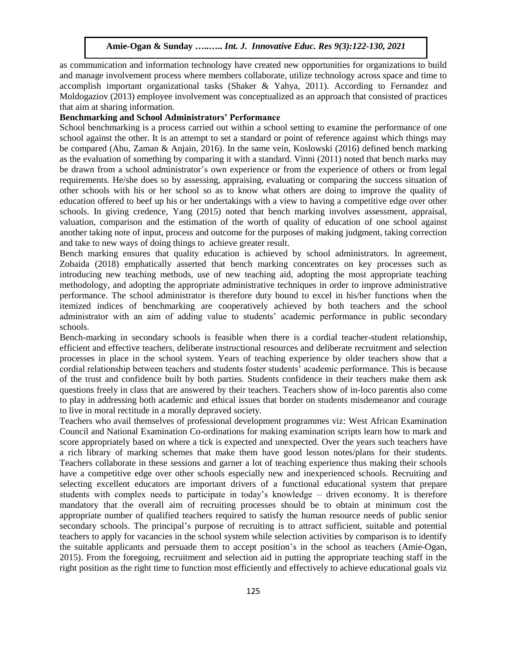as communication and information technology have created new opportunities for organizations to build and manage involvement process where members collaborate, utilize technology across space and time to accomplish important organizational tasks (Shaker & Yahya, 2011). According to Fernandez and Moldogaziov (2013) employee involvement was conceptualized as an approach that consisted of practices that aim at sharing information.

## **Benchmarking and School Administrators' Performance**

School benchmarking is a process carried out within a school setting to examine the performance of one school against the other. It is an attempt to set a standard or point of reference against which things may be compared (Abu, Zaman & Anjain, 2016). In the same vein, Koslowski (2016) defined bench marking as the evaluation of something by comparing it with a standard. Vinni (2011) noted that bench marks may be drawn from a school administrator's own experience or from the experience of others or from legal requirements. He/she does so by assessing, appraising, evaluating or comparing the success situation of other schools with his or her school so as to know what others are doing to improve the quality of education offered to beef up his or her undertakings with a view to having a competitive edge over other schools. In giving credence, Yang (2015) noted that bench marking involves assessment, appraisal, valuation, comparison and the estimation of the worth of quality of education of one school against another taking note of input, process and outcome for the purposes of making judgment, taking correction and take to new ways of doing things to achieve greater result.

Bench marking ensures that quality education is achieved by school administrators. In agreement, Zobaida (2018) emphatically asserted that bench marking concentrates on key processes such as introducing new teaching methods, use of new teaching aid, adopting the most appropriate teaching methodology, and adopting the appropriate administrative techniques in order to improve administrative performance. The school administrator is therefore duty bound to excel in his/her functions when the itemized indices of benchmarking are cooperatively achieved by both teachers and the school administrator with an aim of adding value to students' academic performance in public secondary schools.

Bench-marking in secondary schools is feasible when there is a cordial teacher-student relationship, efficient and effective teachers, deliberate instructional resources and deliberate recruitment and selection processes in place in the school system. Years of teaching experience by older teachers show that a cordial relationship between teachers and students foster students' academic performance. This is because of the trust and confidence built by both parties. Students confidence in their teachers make them ask questions freely in class that are answered by their teachers. Teachers show of in-loco parentis also come to play in addressing both academic and ethical issues that border on students misdemeanor and courage to live in moral rectitude in a morally depraved society.

Teachers who avail themselves of professional development programmes viz: West African Examination Council and National Examination Co-ordinations for making examination scripts learn how to mark and score appropriately based on where a tick is expected and unexpected. Over the years such teachers have a rich library of marking schemes that make them have good lesson notes/plans for their students. Teachers collaborate in these sessions and garner a lot of teaching experience thus making their schools have a competitive edge over other schools especially new and inexperienced schools. Recruiting and selecting excellent educators are important drivers of a functional educational system that prepare students with complex needs to participate in today's knowledge – driven economy. It is therefore mandatory that the overall aim of recruiting processes should be to obtain at minimum cost the appropriate number of qualified teachers required to satisfy the human resource needs of public senior secondary schools. The principal's purpose of recruiting is to attract sufficient, suitable and potential teachers to apply for vacancies in the school system while selection activities by comparison is to identify the suitable applicants and persuade them to accept position's in the school as teachers (Amie-Ogan, 2015). From the foregoing, recruitment and selection aid in putting the appropriate teaching staff in the right position as the right time to function most efficiently and effectively to achieve educational goals viz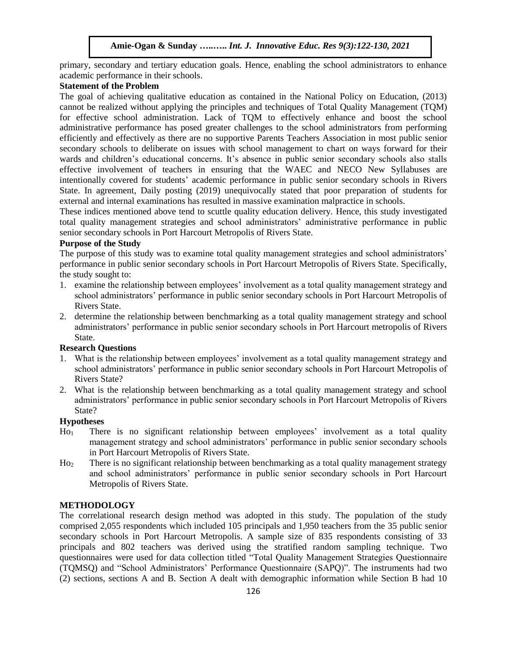primary, secondary and tertiary education goals. Hence, enabling the school administrators to enhance academic performance in their schools.

## **Statement of the Problem**

The goal of achieving qualitative education as contained in the National Policy on Education, (2013) cannot be realized without applying the principles and techniques of Total Quality Management (TQM) for effective school administration. Lack of TQM to effectively enhance and boost the school administrative performance has posed greater challenges to the school administrators from performing efficiently and effectively as there are no supportive Parents Teachers Association in most public senior secondary schools to deliberate on issues with school management to chart on ways forward for their wards and children's educational concerns. It's absence in public senior secondary schools also stalls effective involvement of teachers in ensuring that the WAEC and NECO New Syllabuses are intentionally covered for students' academic performance in public senior secondary schools in Rivers State. In agreement, Daily posting (2019) unequivocally stated that poor preparation of students for external and internal examinations has resulted in massive examination malpractice in schools.

These indices mentioned above tend to scuttle quality education delivery. Hence, this study investigated total quality management strategies and school administrators' administrative performance in public senior secondary schools in Port Harcourt Metropolis of Rivers State.

## **Purpose of the Study**

The purpose of this study was to examine total quality management strategies and school administrators' performance in public senior secondary schools in Port Harcourt Metropolis of Rivers State. Specifically, the study sought to:

- 1. examine the relationship between employees' involvement as a total quality management strategy and school administrators' performance in public senior secondary schools in Port Harcourt Metropolis of Rivers State.
- 2. determine the relationship between benchmarking as a total quality management strategy and school administrators' performance in public senior secondary schools in Port Harcourt metropolis of Rivers State.

# **Research Questions**

- 1. What is the relationship between employees' involvement as a total quality management strategy and school administrators' performance in public senior secondary schools in Port Harcourt Metropolis of Rivers State?
- 2. What is the relationship between benchmarking as a total quality management strategy and school administrators' performance in public senior secondary schools in Port Harcourt Metropolis of Rivers State?

## **Hypotheses**

- Ho<sup>1</sup> There is no significant relationship between employees' involvement as a total quality management strategy and school administrators' performance in public senior secondary schools in Port Harcourt Metropolis of Rivers State.
- Ho<sup>2</sup> There is no significant relationship between benchmarking as a total quality management strategy and school administrators' performance in public senior secondary schools in Port Harcourt Metropolis of Rivers State.

# **METHODOLOGY**

The correlational research design method was adopted in this study. The population of the study comprised 2,055 respondents which included 105 principals and 1,950 teachers from the 35 public senior secondary schools in Port Harcourt Metropolis. A sample size of 835 respondents consisting of 33 principals and 802 teachers was derived using the stratified random sampling technique. Two questionnaires were used for data collection titled "Total Quality Management Strategies Questionnaire (TQMSQ) and "School Administrators' Performance Questionnaire (SAPQ)". The instruments had two (2) sections, sections A and B. Section A dealt with demographic information while Section B had 10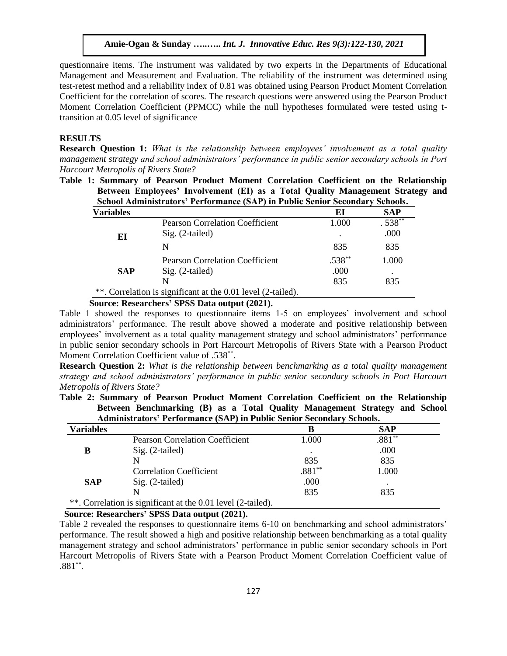questionnaire items. The instrument was validated by two experts in the Departments of Educational Management and Measurement and Evaluation. The reliability of the instrument was determined using test-retest method and a reliability index of 0.81 was obtained using Pearson Product Moment Correlation Coefficient for the correlation of scores. The research questions were answered using the Pearson Product Moment Correlation Coefficient (PPMCC) while the null hypotheses formulated were tested using ttransition at 0.05 level of significance

#### **RESULTS**

**Research Question 1:** *What is the relationship between employees' involvement as a total quality management strategy and school administrators' performance in public senior secondary schools in Port Harcourt Metropolis of Rivers State?*

**Table 1: Summary of Pearson Product Moment Correlation Coefficient on the Relationship Between Employees' Involvement (EI) as a Total Quality Management Strategy and School Administrators' Performance (SAP) in Public Senior Secondary Schools.**

| <b>Variables</b> |                                                              | EI        | SAP       |
|------------------|--------------------------------------------------------------|-----------|-----------|
|                  | <b>Pearson Correlation Coefficient</b>                       | 1.000     | $.538***$ |
| EI               | $Sig. (2-tailed)$                                            | $\bullet$ | .000      |
|                  | N                                                            | 835       | 835       |
| <b>SAP</b>       | <b>Pearson Correlation Coefficient</b>                       | $.538***$ | 1.000     |
|                  | $Sig. (2-tailed)$                                            | .000      |           |
|                  | N                                                            | 835       | 835       |
|                  | **. Correlation is significant at the 0.01 level (2-tailed). |           |           |

#### **Source: Researchers' SPSS Data output (2021).**

Table 1 showed the responses to questionnaire items 1-5 on employees' involvement and school administrators' performance. The result above showed a moderate and positive relationship between employees' involvement as a total quality management strategy and school administrators' performance in public senior secondary schools in Port Harcourt Metropolis of Rivers State with a Pearson Product Moment Correlation Coefficient value of .538\*\*.

**Research Question 2:** *What is the relationship between benchmarking as a total quality management strategy and school administrators' performance in public senior secondary schools in Port Harcourt Metropolis of Rivers State?*

**Table 2: Summary of Pearson Product Moment Correlation Coefficient on the Relationship Between Benchmarking (B) as a Total Quality Management Strategy and School Administrators' Performance (SAP) in Public Senior Secondary Schools.**

| <b>Variables</b> |                                                              | в        | SAP      |
|------------------|--------------------------------------------------------------|----------|----------|
|                  | <b>Pearson Correlation Coefficient</b>                       | 1.000    | $.881**$ |
| В                | Sig. (2-tailed)                                              |          | .000     |
|                  |                                                              | 835      | 835      |
|                  | <b>Correlation Coefficient</b>                               | $.881**$ | 1.000    |
| <b>SAP</b>       | $Sig. (2-tailed)$                                            | .000     |          |
|                  |                                                              | 835      | 835      |
|                  | **. Correlation is significant at the 0.01 level (2-tailed). |          |          |

 **Source: Researchers' SPSS Data output (2021).**

Table 2 revealed the responses to questionnaire items 6-10 on benchmarking and school administrators' performance. The result showed a high and positive relationship between benchmarking as a total quality management strategy and school administrators' performance in public senior secondary schools in Port Harcourt Metropolis of Rivers State with a Pearson Product Moment Correlation Coefficient value of  $.881**$ .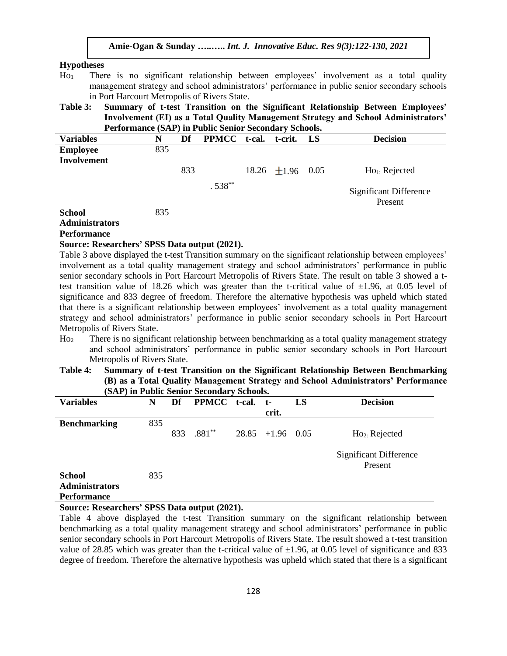#### **Hypotheses**

- Ho<sub>1</sub> There is no significant relationship between employees' involvement as a total quality management strategy and school administrators' performance in public senior secondary schools in Port Harcourt Metropolis of Rivers State.
- **Table 3: Summary of t-test Transition on the Significant Relationship Between Employees' Involvement (EI) as a Total Quality Management Strategy and School Administrators' Performance (SAP) in Public Senior Secondary Schools.**

| <b>Variables</b>                                             | N   | Df  | <b>PPMCC</b> | t-cal. | t-crit.          | LS   | <b>Decision</b>                          |
|--------------------------------------------------------------|-----|-----|--------------|--------|------------------|------|------------------------------------------|
| <b>Employee</b><br><b>Involvement</b>                        | 835 |     |              |        |                  |      |                                          |
|                                                              |     | 833 |              |        | 18.26 $\pm$ 1.96 | 0.05 | $Ho_1$ : Rejected                        |
|                                                              |     |     | $.538***$    |        |                  |      | <b>Significant Difference</b><br>Present |
| <b>School</b><br><b>Administrators</b><br><b>Performance</b> | 835 |     |              |        |                  |      |                                          |

## **Source: Researchers' SPSS Data output (2021).**

Table 3 above displayed the t-test Transition summary on the significant relationship between employees' involvement as a total quality management strategy and school administrators' performance in public senior secondary schools in Port Harcourt Metropolis of Rivers State. The result on table 3 showed a ttest transition value of 18.26 which was greater than the t-critical value of  $\pm 1.96$ , at 0.05 level of significance and 833 degree of freedom. Therefore the alternative hypothesis was upheld which stated that there is a significant relationship between employees' involvement as a total quality management strategy and school administrators' performance in public senior secondary schools in Port Harcourt Metropolis of Rivers State.

- Ho<sup>2</sup> There is no significant relationship between benchmarking as a total quality management strategy and school administrators' performance in public senior secondary schools in Port Harcourt Metropolis of Rivers State.
- **Table 4: Summary of t-test Transition on the Significant Relationship Between Benchmarking (B) as a Total Quality Management Strategy and School Administrators' Performance (SAP) in Public Senior Secondary Schools.**

| <b>Variables</b>                       | N   | Df  | PPMCC t-cal. | $t-$               | LS | <b>Decision</b>                          |
|----------------------------------------|-----|-----|--------------|--------------------|----|------------------------------------------|
|                                        |     |     |              | crit.              |    |                                          |
| <b>Benchmarking</b>                    | 835 |     |              |                    |    |                                          |
|                                        |     | 833 | $.881**$     | $28.85$ +1.96 0.05 |    | Ho <sub>2</sub> : Rejected               |
|                                        |     |     |              |                    |    | <b>Significant Difference</b><br>Present |
| <b>School</b><br><b>Administrators</b> | 835 |     |              |                    |    |                                          |
| <b>Performance</b>                     |     |     |              |                    |    |                                          |

## **Source: Researchers' SPSS Data output (2021).**

Table 4 above displayed the t-test Transition summary on the significant relationship between benchmarking as a total quality management strategy and school administrators' performance in public senior secondary schools in Port Harcourt Metropolis of Rivers State. The result showed a t-test transition value of 28.85 which was greater than the t-critical value of  $\pm 1.96$ , at 0.05 level of significance and 833 degree of freedom. Therefore the alternative hypothesis was upheld which stated that there is a significant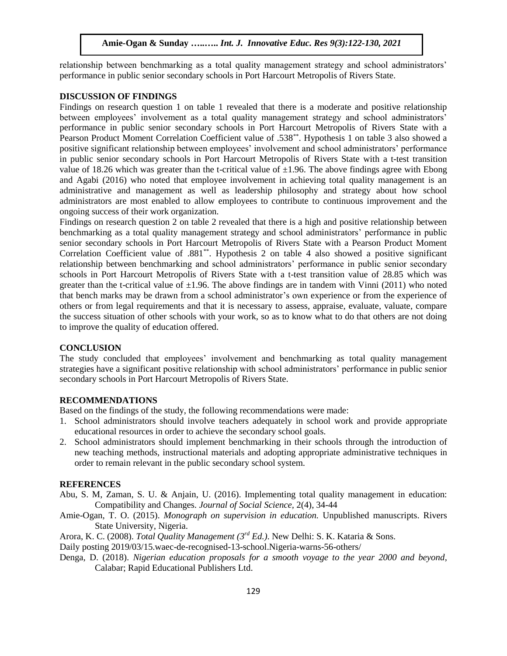relationship between benchmarking as a total quality management strategy and school administrators' performance in public senior secondary schools in Port Harcourt Metropolis of Rivers State.

#### **DISCUSSION OF FINDINGS**

Findings on research question 1 on table 1 revealed that there is a moderate and positive relationship between employees' involvement as a total quality management strategy and school administrators' performance in public senior secondary schools in Port Harcourt Metropolis of Rivers State with a Pearson Product Moment Correlation Coefficient value of .538\*\*. Hypothesis 1 on table 3 also showed a positive significant relationship between employees' involvement and school administrators' performance in public senior secondary schools in Port Harcourt Metropolis of Rivers State with a t-test transition value of 18.26 which was greater than the t-critical value of  $\pm 1.96$ . The above findings agree with Ebong and Agabi (2016) who noted that employee involvement in achieving total quality management is an administrative and management as well as leadership philosophy and strategy about how school administrators are most enabled to allow employees to contribute to continuous improvement and the ongoing success of their work organization.

Findings on research question 2 on table 2 revealed that there is a high and positive relationship between benchmarking as a total quality management strategy and school administrators' performance in public senior secondary schools in Port Harcourt Metropolis of Rivers State with a Pearson Product Moment Correlation Coefficient value of .881\*\*. Hypothesis 2 on table 4 also showed a positive significant relationship between benchmarking and school administrators' performance in public senior secondary schools in Port Harcourt Metropolis of Rivers State with a t-test transition value of 28.85 which was greater than the t-critical value of  $\pm 1.96$ . The above findings are in tandem with Vinni (2011) who noted that bench marks may be drawn from a school administrator's own experience or from the experience of others or from legal requirements and that it is necessary to assess, appraise, evaluate, valuate, compare the success situation of other schools with your work, so as to know what to do that others are not doing to improve the quality of education offered.

# **CONCLUSION**

The study concluded that employees' involvement and benchmarking as total quality management strategies have a significant positive relationship with school administrators' performance in public senior secondary schools in Port Harcourt Metropolis of Rivers State.

#### **RECOMMENDATIONS**

Based on the findings of the study, the following recommendations were made:

- 1. School administrators should involve teachers adequately in school work and provide appropriate educational resources in order to achieve the secondary school goals.
- 2. School administrators should implement benchmarking in their schools through the introduction of new teaching methods, instructional materials and adopting appropriate administrative techniques in order to remain relevant in the public secondary school system.

#### **REFERENCES**

- Abu, S. M, Zaman, S. U. & Anjain, U. (2016). Implementing total quality management in education: Compatibility and Changes. *Journal of Social Science,* 2(4), 34-44
- Amie-Ogan, T. O. (2015). *Monograph on supervision in education.* Unpublished manuscripts. Rivers State University, Nigeria.

Arora, K. C. (2008). *Total Quality Management (3rd Ed.)*. New Delhi: S. K. Kataria & Sons.

Daily posting 2019/03/15.waec-de-recognised-13-school.Nigeria-warns-56-others/

Denga, D. (2018). *Nigerian education proposals for a smooth voyage to the year 2000 and beyond*, Calabar; Rapid Educational Publishers Ltd.